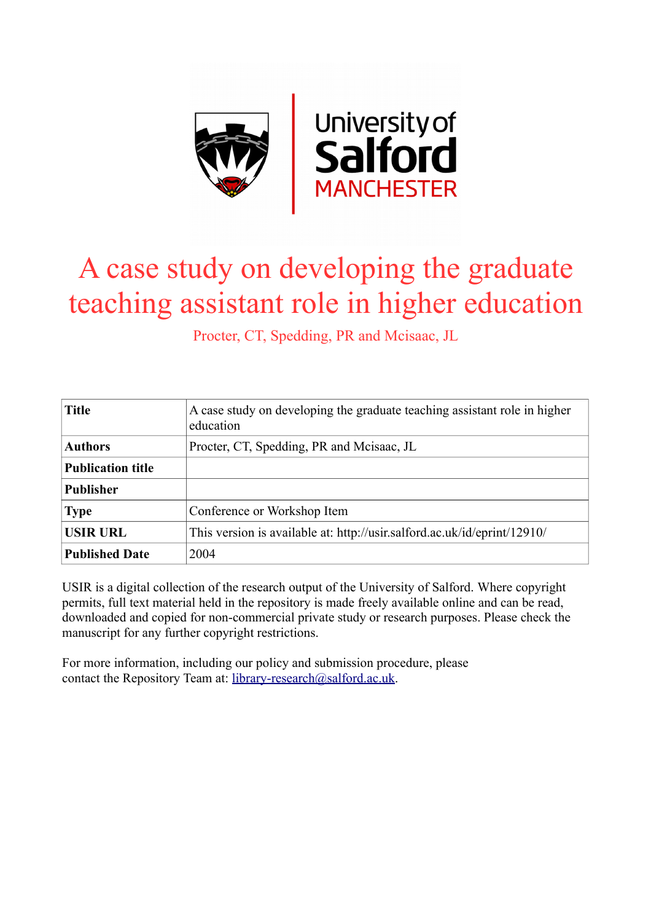

# A case study on developing the graduate teaching assistant role in higher education

Procter, CT, Spedding, PR and Mcisaac, JL

| <b>Title</b>             | A case study on developing the graduate teaching assistant role in higher<br>education |
|--------------------------|----------------------------------------------------------------------------------------|
| <b>Authors</b>           | Procter, CT, Spedding, PR and Mcisaac, JL                                              |
| <b>Publication title</b> |                                                                                        |
| <b>Publisher</b>         |                                                                                        |
| <b>Type</b>              | Conference or Workshop Item                                                            |
| <b>USIR URL</b>          | This version is available at: http://usir.salford.ac.uk/id/eprint/12910/               |
| <b>Published Date</b>    | 2004                                                                                   |

USIR is a digital collection of the research output of the University of Salford. Where copyright permits, full text material held in the repository is made freely available online and can be read, downloaded and copied for non-commercial private study or research purposes. Please check the manuscript for any further copyright restrictions.

For more information, including our policy and submission procedure, please contact the Repository Team at: [library-research@salford.ac.uk.](mailto:library-research@salford.ac.uk)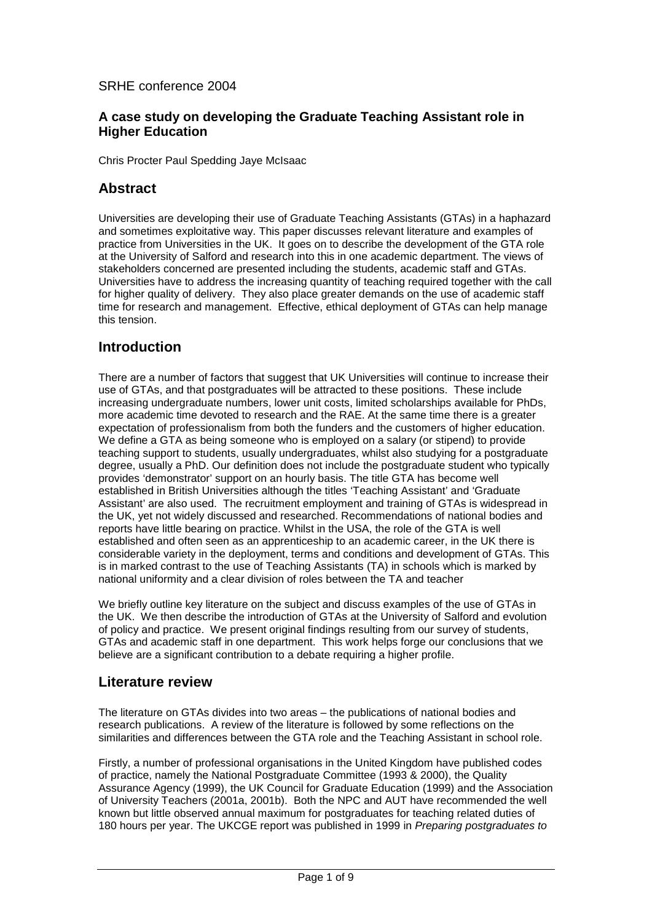#### SRHE conference 2004

#### **A case study on developing the Graduate Teaching Assistant role in Higher Education**

Chris Procter Paul Spedding Jaye McIsaac

#### **Abstract**

Universities are developing their use of Graduate Teaching Assistants (GTAs) in a haphazard and sometimes exploitative way. This paper discusses relevant literature and examples of practice from Universities in the UK. It goes on to describe the development of the GTA role at the University of Salford and research into this in one academic department. The views of stakeholders concerned are presented including the students, academic staff and GTAs. Universities have to address the increasing quantity of teaching required together with the call for higher quality of delivery. They also place greater demands on the use of academic staff time for research and management. Effective, ethical deployment of GTAs can help manage this tension.

#### **Introduction**

There are a number of factors that suggest that UK Universities will continue to increase their use of GTAs, and that postgraduates will be attracted to these positions. These include increasing undergraduate numbers, lower unit costs, limited scholarships available for PhDs, more academic time devoted to research and the RAE. At the same time there is a greater expectation of professionalism from both the funders and the customers of higher education. We define a GTA as being someone who is employed on a salary (or stipend) to provide teaching support to students, usually undergraduates, whilst also studying for a postgraduate degree, usually a PhD. Our definition does not include the postgraduate student who typically provides 'demonstrator' support on an hourly basis. The title GTA has become well established in British Universities although the titles 'Teaching Assistant' and 'Graduate Assistant' are also used. The recruitment employment and training of GTAs is widespread in the UK, yet not widely discussed and researched. Recommendations of national bodies and reports have little bearing on practice. Whilst in the USA, the role of the GTA is well established and often seen as an apprenticeship to an academic career, in the UK there is considerable variety in the deployment, terms and conditions and development of GTAs. This is in marked contrast to the use of Teaching Assistants (TA) in schools which is marked by national uniformity and a clear division of roles between the TA and teacher

We briefly outline key literature on the subject and discuss examples of the use of GTAs in the UK. We then describe the introduction of GTAs at the University of Salford and evolution of policy and practice. We present original findings resulting from our survey of students, GTAs and academic staff in one department. This work helps forge our conclusions that we believe are a significant contribution to a debate requiring a higher profile.

#### **Literature review**

The literature on GTAs divides into two areas – the publications of national bodies and research publications. A review of the literature is followed by some reflections on the similarities and differences between the GTA role and the Teaching Assistant in school role.

Firstly, a number of professional organisations in the United Kingdom have published codes of practice, namely the National Postgraduate Committee (1993 & 2000), the Quality Assurance Agency (1999), the UK Council for Graduate Education (1999) and the Association of University Teachers (2001a, 2001b). Both the NPC and AUT have recommended the well known but little observed annual maximum for postgraduates for teaching related duties of 180 hours per year. The UKCGE report was published in 1999 in *Preparing postgraduates to*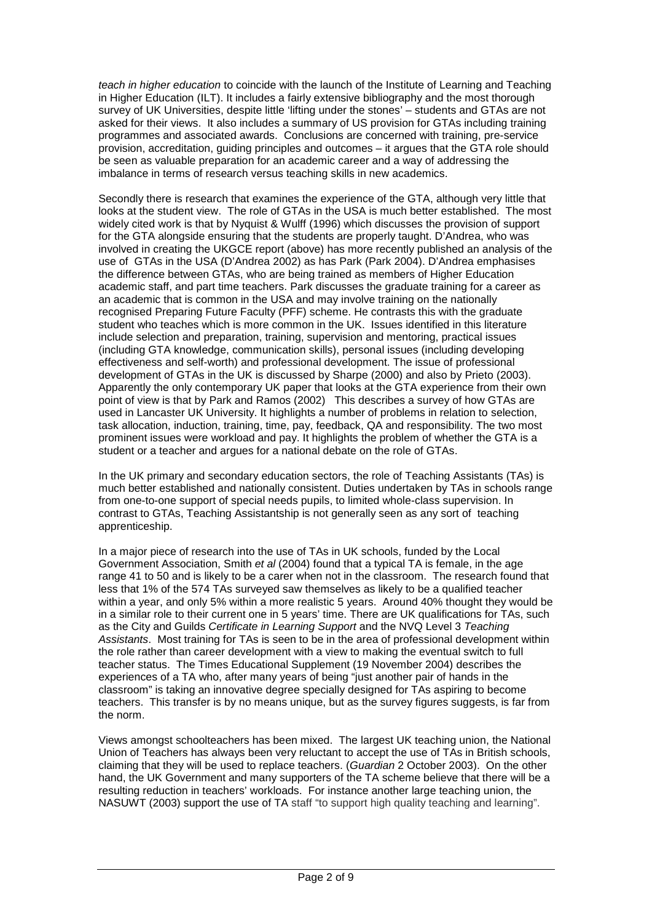*teach in higher education* to coincide with the launch of the Institute of Learning and Teaching in Higher Education (ILT). It includes a fairly extensive bibliography and the most thorough survey of UK Universities, despite little 'lifting under the stones' – students and GTAs are not asked for their views. It also includes a summary of US provision for GTAs including training programmes and associated awards. Conclusions are concerned with training, pre-service provision, accreditation, guiding principles and outcomes – it argues that the GTA role should be seen as valuable preparation for an academic career and a way of addressing the imbalance in terms of research versus teaching skills in new academics.

Secondly there is research that examines the experience of the GTA, although very little that looks at the student view. The role of GTAs in the USA is much better established. The most widely cited work is that by Nyquist & Wulff (1996) which discusses the provision of support for the GTA alongside ensuring that the students are properly taught. D'Andrea, who was involved in creating the UKGCE report (above) has more recently published an analysis of the use of GTAs in the USA (D'Andrea 2002) as has Park (Park 2004). D'Andrea emphasises the difference between GTAs, who are being trained as members of Higher Education academic staff, and part time teachers. Park discusses the graduate training for a career as an academic that is common in the USA and may involve training on the nationally recognised Preparing Future Faculty (PFF) scheme. He contrasts this with the graduate student who teaches which is more common in the UK. Issues identified in this literature include selection and preparation, training, supervision and mentoring, practical issues (including GTA knowledge, communication skills), personal issues (including developing effectiveness and self-worth) and professional development. The issue of professional development of GTAs in the UK is discussed by Sharpe (2000) and also by Prieto (2003). Apparently the only contemporary UK paper that looks at the GTA experience from their own point of view is that by Park and Ramos (2002) This describes a survey of how GTAs are used in Lancaster UK University. It highlights a number of problems in relation to selection, task allocation, induction, training, time, pay, feedback, QA and responsibility. The two most prominent issues were workload and pay. It highlights the problem of whether the GTA is a student or a teacher and argues for a national debate on the role of GTAs.

In the UK primary and secondary education sectors, the role of Teaching Assistants (TAs) is much better established and nationally consistent. Duties undertaken by TAs in schools range from one-to-one support of special needs pupils, to limited whole-class supervision. In contrast to GTAs, Teaching Assistantship is not generally seen as any sort of teaching apprenticeship.

In a major piece of research into the use of TAs in UK schools, funded by the Local Government Association, Smith *et al* (2004) found that a typical TA is female, in the age range 41 to 50 and is likely to be a carer when not in the classroom. The research found that less that 1% of the 574 TAs surveyed saw themselves as likely to be a qualified teacher within a year, and only 5% within a more realistic 5 years. Around 40% thought they would be in a similar role to their current one in 5 years' time. There are UK qualifications for TAs, such as the City and Guilds *Certificate in Learning Support* and the NVQ Level 3 *Teaching Assistants*. Most training for TAs is seen to be in the area of professional development within the role rather than career development with a view to making the eventual switch to full teacher status. The Times Educational Supplement (19 November 2004) describes the experiences of a TA who, after many years of being "just another pair of hands in the classroom" is taking an innovative degree specially designed for TAs aspiring to become teachers. This transfer is by no means unique, but as the survey figures suggests, is far from the norm.

Views amongst schoolteachers has been mixed. The largest UK teaching union, the National Union of Teachers has always been very reluctant to accept the use of TAs in British schools, claiming that they will be used to replace teachers. (*Guardian* 2 October 2003). On the other hand, the UK Government and many supporters of the TA scheme believe that there will be a resulting reduction in teachers' workloads. For instance another large teaching union, the NASUWT (2003) support the use of TA staff "to support high quality teaching and learning".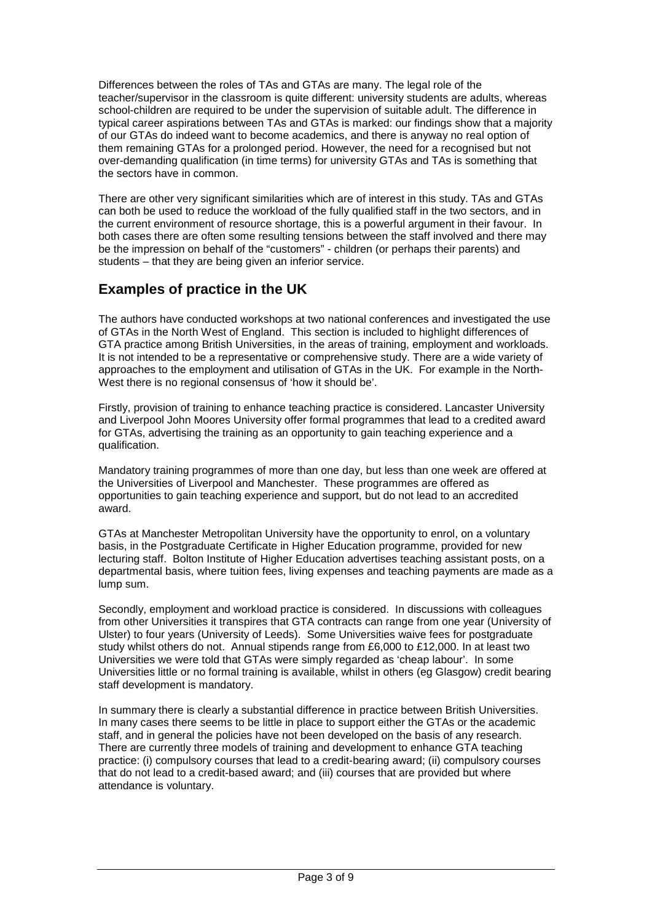Differences between the roles of TAs and GTAs are many. The legal role of the teacher/supervisor in the classroom is quite different: university students are adults, whereas school-children are required to be under the supervision of suitable adult. The difference in typical career aspirations between TAs and GTAs is marked: our findings show that a majority of our GTAs do indeed want to become academics, and there is anyway no real option of them remaining GTAs for a prolonged period. However, the need for a recognised but not over-demanding qualification (in time terms) for university GTAs and TAs is something that the sectors have in common.

There are other very significant similarities which are of interest in this study. TAs and GTAs can both be used to reduce the workload of the fully qualified staff in the two sectors, and in the current environment of resource shortage, this is a powerful argument in their favour. In both cases there are often some resulting tensions between the staff involved and there may be the impression on behalf of the "customers" - children (or perhaps their parents) and students – that they are being given an inferior service.

## **Examples of practice in the UK**

The authors have conducted workshops at two national conferences and investigated the use of GTAs in the North West of England. This section is included to highlight differences of GTA practice among British Universities, in the areas of training, employment and workloads. It is not intended to be a representative or comprehensive study. There are a wide variety of approaches to the employment and utilisation of GTAs in the UK. For example in the North-West there is no regional consensus of 'how it should be'.

Firstly, provision of training to enhance teaching practice is considered. Lancaster University and Liverpool John Moores University offer formal programmes that lead to a credited award for GTAs, advertising the training as an opportunity to gain teaching experience and a qualification.

Mandatory training programmes of more than one day, but less than one week are offered at the Universities of Liverpool and Manchester. These programmes are offered as opportunities to gain teaching experience and support, but do not lead to an accredited award.

GTAs at Manchester Metropolitan University have the opportunity to enrol, on a voluntary basis, in the Postgraduate Certificate in Higher Education programme, provided for new lecturing staff. Bolton Institute of Higher Education advertises teaching assistant posts, on a departmental basis, where tuition fees, living expenses and teaching payments are made as a lump sum.

Secondly, employment and workload practice is considered. In discussions with colleagues from other Universities it transpires that GTA contracts can range from one year (University of Ulster) to four years (University of Leeds). Some Universities waive fees for postgraduate study whilst others do not. Annual stipends range from £6,000 to £12,000. In at least two Universities we were told that GTAs were simply regarded as 'cheap labour'. In some Universities little or no formal training is available, whilst in others (eg Glasgow) credit bearing staff development is mandatory.

In summary there is clearly a substantial difference in practice between British Universities. In many cases there seems to be little in place to support either the GTAs or the academic staff, and in general the policies have not been developed on the basis of any research. There are currently three models of training and development to enhance GTA teaching practice: (i) compulsory courses that lead to a credit-bearing award; (ii) compulsory courses that do not lead to a credit-based award; and (iii) courses that are provided but where attendance is voluntary.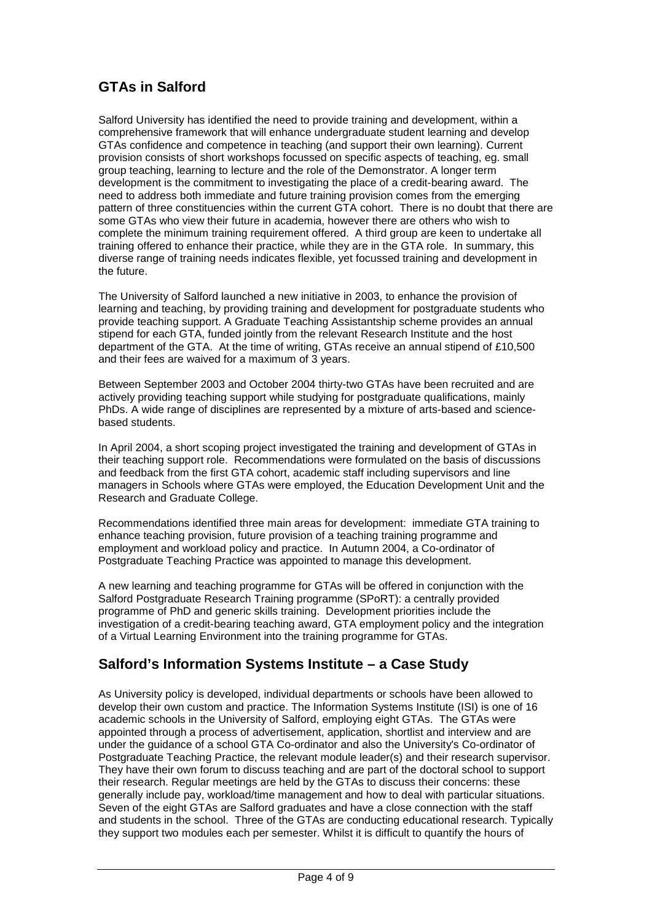## **GTAs in Salford**

Salford University has identified the need to provide training and development, within a comprehensive framework that will enhance undergraduate student learning and develop GTAs confidence and competence in teaching (and support their own learning). Current provision consists of short workshops focussed on specific aspects of teaching, eg. small group teaching, learning to lecture and the role of the Demonstrator. A longer term development is the commitment to investigating the place of a credit-bearing award. The need to address both immediate and future training provision comes from the emerging pattern of three constituencies within the current GTA cohort. There is no doubt that there are some GTAs who view their future in academia, however there are others who wish to complete the minimum training requirement offered. A third group are keen to undertake all training offered to enhance their practice, while they are in the GTA role. In summary, this diverse range of training needs indicates flexible, yet focussed training and development in the future.

The University of Salford launched a new initiative in 2003, to enhance the provision of learning and teaching, by providing training and development for postgraduate students who provide teaching support. A Graduate Teaching Assistantship scheme provides an annual stipend for each GTA, funded jointly from the relevant Research Institute and the host department of the GTA. At the time of writing, GTAs receive an annual stipend of £10,500 and their fees are waived for a maximum of 3 years.

Between September 2003 and October 2004 thirty-two GTAs have been recruited and are actively providing teaching support while studying for postgraduate qualifications, mainly PhDs. A wide range of disciplines are represented by a mixture of arts-based and sciencebased students.

In April 2004, a short scoping project investigated the training and development of GTAs in their teaching support role. Recommendations were formulated on the basis of discussions and feedback from the first GTA cohort, academic staff including supervisors and line managers in Schools where GTAs were employed, the Education Development Unit and the Research and Graduate College.

Recommendations identified three main areas for development: immediate GTA training to enhance teaching provision, future provision of a teaching training programme and employment and workload policy and practice. In Autumn 2004, a Co-ordinator of Postgraduate Teaching Practice was appointed to manage this development.

A new learning and teaching programme for GTAs will be offered in conjunction with the Salford Postgraduate Research Training programme (SPoRT): a centrally provided programme of PhD and generic skills training. Development priorities include the investigation of a credit-bearing teaching award, GTA employment policy and the integration of a Virtual Learning Environment into the training programme for GTAs.

## **Salford's Information Systems Institute – a Case Study**

As University policy is developed, individual departments or schools have been allowed to develop their own custom and practice. The Information Systems Institute (ISI) is one of 16 academic schools in the University of Salford, employing eight GTAs. The GTAs were appointed through a process of advertisement, application, shortlist and interview and are under the guidance of a school GTA Co-ordinator and also the University's Co-ordinator of Postgraduate Teaching Practice, the relevant module leader(s) and their research supervisor. They have their own forum to discuss teaching and are part of the doctoral school to support their research. Regular meetings are held by the GTAs to discuss their concerns: these generally include pay, workload/time management and how to deal with particular situations. Seven of the eight GTAs are Salford graduates and have a close connection with the staff and students in the school. Three of the GTAs are conducting educational research. Typically they support two modules each per semester. Whilst it is difficult to quantify the hours of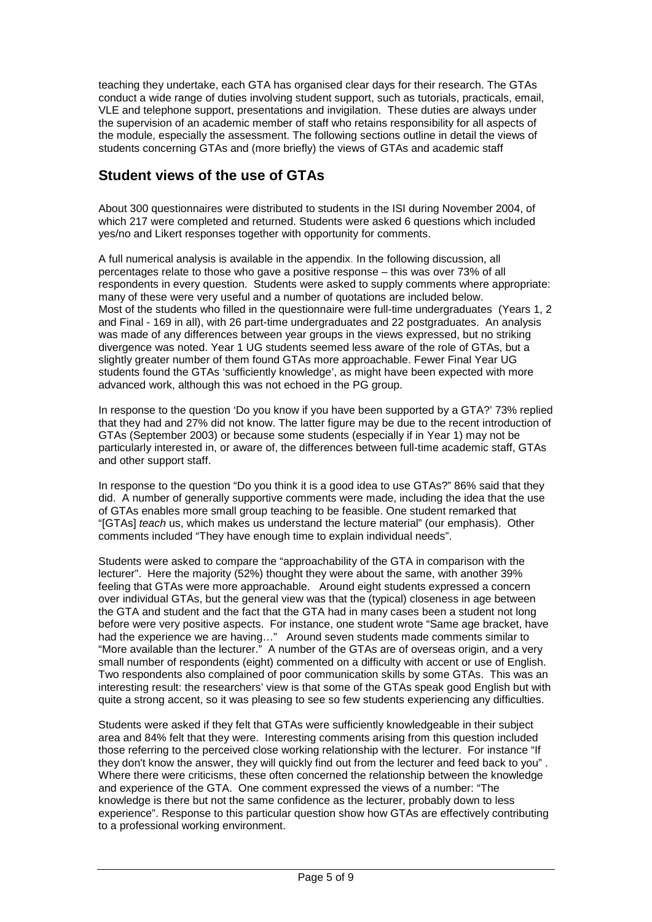teaching they undertake, each GTA has organised clear days for their research. The GTAs conduct a wide range of duties involving student support, such as tutorials, practicals, email, VLE and telephone support, presentations and invigilation. These duties are always under the supervision of an academic member of staff who retains responsibility for all aspects of the module, especially the assessment. The following sections outline in detail the views of students concerning GTAs and (more briefly) the views of GTAs and academic staff

## **Student views of the use of GTAs**

About 300 questionnaires were distributed to students in the ISI during November 2004, of which 217 were completed and returned. Students were asked 6 questions which included yes/no and Likert responses together with opportunity for comments.

A full numerical analysis is available in the appendix. In the following discussion, all percentages relate to those who gave a positive response – this was over 73% of all respondents in every question. Students were asked to supply comments where appropriate: many of these were very useful and a number of quotations are included below. Most of the students who filled in the questionnaire were full-time undergraduates (Years 1, 2 and Final - 169 in all), with 26 part-time undergraduates and 22 postgraduates. An analysis was made of any differences between year groups in the views expressed, but no striking divergence was noted. Year 1 UG students seemed less aware of the role of GTAs, but a slightly greater number of them found GTAs more approachable. Fewer Final Year UG students found the GTAs 'sufficiently knowledge', as might have been expected with more advanced work, although this was not echoed in the PG group.

In response to the question 'Do you know if you have been supported by a GTA?' 73% replied that they had and 27% did not know. The latter figure may be due to the recent introduction of GTAs (September 2003) or because some students (especially if in Year 1) may not be particularly interested in, or aware of, the differences between full-time academic staff, GTAs and other support staff.

In response to the question "Do you think it is a good idea to use GTAs?" 86% said that they did. A number of generally supportive comments were made, including the idea that the use of GTAs enables more small group teaching to be feasible. One student remarked that "[GTAs] *teach* us, which makes us understand the lecture material" (our emphasis). Other comments included "They have enough time to explain individual needs".

Students were asked to compare the "approachability of the GTA in comparison with the lecturer". Here the majority (52%) thought they were about the same, with another 39% feeling that GTAs were more approachable. Around eight students expressed a concern over individual GTAs, but the general view was that the (typical) closeness in age between the GTA and student and the fact that the GTA had in many cases been a student not long before were very positive aspects. For instance, one student wrote "Same age bracket, have had the experience we are having…" Around seven students made comments similar to "More available than the lecturer." A number of the GTAs are of overseas origin, and a very small number of respondents (eight) commented on a difficulty with accent or use of English. Two respondents also complained of poor communication skills by some GTAs. This was an interesting result: the researchers' view is that some of the GTAs speak good English but with quite a strong accent, so it was pleasing to see so few students experiencing any difficulties.

Students were asked if they felt that GTAs were sufficiently knowledgeable in their subject area and 84% felt that they were. Interesting comments arising from this question included those referring to the perceived close working relationship with the lecturer. For instance "If they don't know the answer, they will quickly find out from the lecturer and feed back to you" . Where there were criticisms, these often concerned the relationship between the knowledge and experience of the GTA. One comment expressed the views of a number: "The knowledge is there but not the same confidence as the lecturer, probably down to less experience". Response to this particular question show how GTAs are effectively contributing to a professional working environment.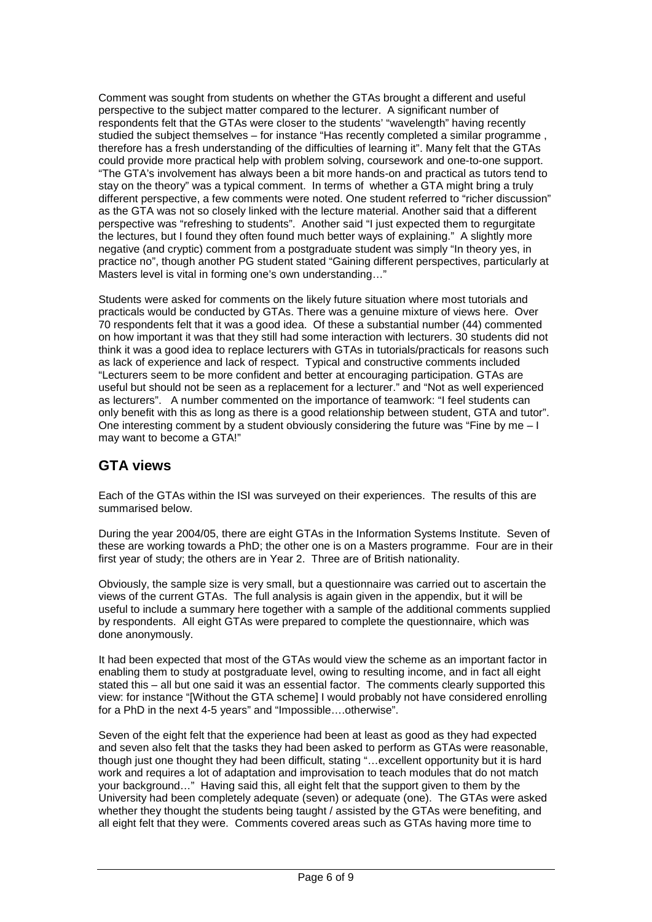Comment was sought from students on whether the GTAs brought a different and useful perspective to the subject matter compared to the lecturer. A significant number of respondents felt that the GTAs were closer to the students' "wavelength" having recently studied the subject themselves – for instance "Has recently completed a similar programme , therefore has a fresh understanding of the difficulties of learning it". Many felt that the GTAs could provide more practical help with problem solving, coursework and one-to-one support. "The GTA's involvement has always been a bit more hands-on and practical as tutors tend to stay on the theory" was a typical comment. In terms of whether a GTA might bring a truly different perspective, a few comments were noted. One student referred to "richer discussion" as the GTA was not so closely linked with the lecture material. Another said that a different perspective was "refreshing to students". Another said "I just expected them to regurgitate the lectures, but I found they often found much better ways of explaining." A slightly more negative (and cryptic) comment from a postgraduate student was simply "In theory yes, in practice no", though another PG student stated "Gaining different perspectives, particularly at Masters level is vital in forming one's own understanding…"

Students were asked for comments on the likely future situation where most tutorials and practicals would be conducted by GTAs. There was a genuine mixture of views here. Over 70 respondents felt that it was a good idea. Of these a substantial number (44) commented on how important it was that they still had some interaction with lecturers. 30 students did not think it was a good idea to replace lecturers with GTAs in tutorials/practicals for reasons such as lack of experience and lack of respect. Typical and constructive comments included "Lecturers seem to be more confident and better at encouraging participation. GTAs are useful but should not be seen as a replacement for a lecturer." and "Not as well experienced as lecturers". A number commented on the importance of teamwork: "I feel students can only benefit with this as long as there is a good relationship between student, GTA and tutor". One interesting comment by a student obviously considering the future was "Fine by me – I may want to become a GTA!"

#### **GTA views**

Each of the GTAs within the ISI was surveyed on their experiences. The results of this are summarised below.

During the year 2004/05, there are eight GTAs in the Information Systems Institute. Seven of these are working towards a PhD; the other one is on a Masters programme. Four are in their first year of study; the others are in Year 2. Three are of British nationality.

Obviously, the sample size is very small, but a questionnaire was carried out to ascertain the views of the current GTAs. The full analysis is again given in the appendix, but it will be useful to include a summary here together with a sample of the additional comments supplied by respondents. All eight GTAs were prepared to complete the questionnaire, which was done anonymously.

It had been expected that most of the GTAs would view the scheme as an important factor in enabling them to study at postgraduate level, owing to resulting income, and in fact all eight stated this – all but one said it was an essential factor. The comments clearly supported this view: for instance "[Without the GTA scheme] I would probably not have considered enrolling for a PhD in the next 4-5 years" and "Impossible….otherwise".

Seven of the eight felt that the experience had been at least as good as they had expected and seven also felt that the tasks they had been asked to perform as GTAs were reasonable, though just one thought they had been difficult, stating "…excellent opportunity but it is hard work and requires a lot of adaptation and improvisation to teach modules that do not match your background…" Having said this, all eight felt that the support given to them by the University had been completely adequate (seven) or adequate (one). The GTAs were asked whether they thought the students being taught / assisted by the GTAs were benefiting, and all eight felt that they were. Comments covered areas such as GTAs having more time to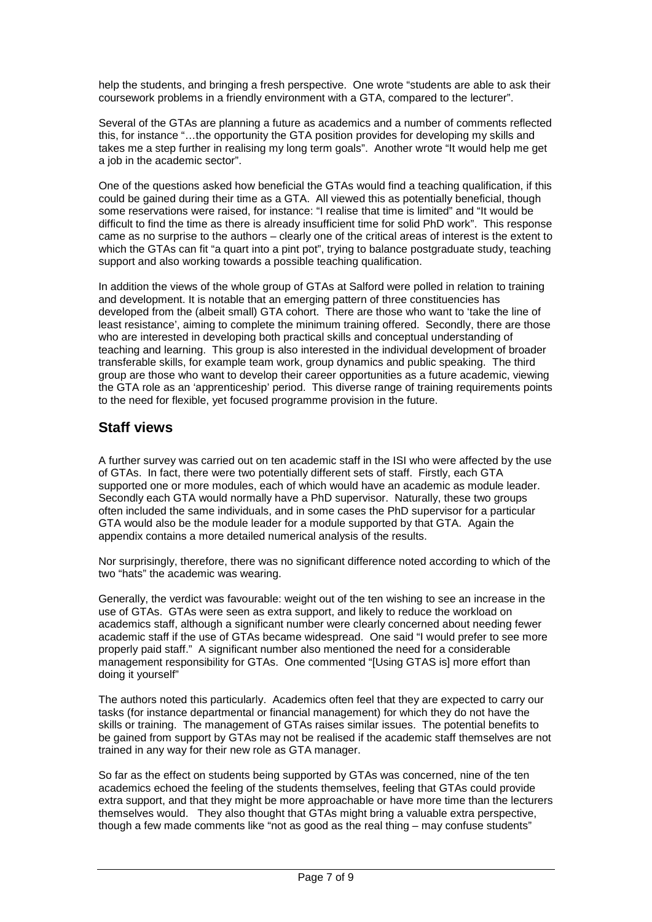help the students, and bringing a fresh perspective. One wrote "students are able to ask their coursework problems in a friendly environment with a GTA, compared to the lecturer".

Several of the GTAs are planning a future as academics and a number of comments reflected this, for instance "…the opportunity the GTA position provides for developing my skills and takes me a step further in realising my long term goals". Another wrote "It would help me get a job in the academic sector".

One of the questions asked how beneficial the GTAs would find a teaching qualification, if this could be gained during their time as a GTA. All viewed this as potentially beneficial, though some reservations were raised, for instance: "I realise that time is limited" and "It would be difficult to find the time as there is already insufficient time for solid PhD work". This response came as no surprise to the authors – clearly one of the critical areas of interest is the extent to which the GTAs can fit "a quart into a pint pot", trying to balance postgraduate study, teaching support and also working towards a possible teaching qualification.

In addition the views of the whole group of GTAs at Salford were polled in relation to training and development. It is notable that an emerging pattern of three constituencies has developed from the (albeit small) GTA cohort. There are those who want to 'take the line of least resistance', aiming to complete the minimum training offered. Secondly, there are those who are interested in developing both practical skills and conceptual understanding of teaching and learning. This group is also interested in the individual development of broader transferable skills, for example team work, group dynamics and public speaking. The third group are those who want to develop their career opportunities as a future academic, viewing the GTA role as an 'apprenticeship' period. This diverse range of training requirements points to the need for flexible, yet focused programme provision in the future.

### **Staff views**

A further survey was carried out on ten academic staff in the ISI who were affected by the use of GTAs. In fact, there were two potentially different sets of staff. Firstly, each GTA supported one or more modules, each of which would have an academic as module leader. Secondly each GTA would normally have a PhD supervisor. Naturally, these two groups often included the same individuals, and in some cases the PhD supervisor for a particular GTA would also be the module leader for a module supported by that GTA. Again the appendix contains a more detailed numerical analysis of the results.

Nor surprisingly, therefore, there was no significant difference noted according to which of the two "hats" the academic was wearing.

Generally, the verdict was favourable: weight out of the ten wishing to see an increase in the use of GTAs. GTAs were seen as extra support, and likely to reduce the workload on academics staff, although a significant number were clearly concerned about needing fewer academic staff if the use of GTAs became widespread. One said "I would prefer to see more properly paid staff." A significant number also mentioned the need for a considerable management responsibility for GTAs. One commented "[Using GTAS is] more effort than doing it yourself"

The authors noted this particularly. Academics often feel that they are expected to carry our tasks (for instance departmental or financial management) for which they do not have the skills or training. The management of GTAs raises similar issues. The potential benefits to be gained from support by GTAs may not be realised if the academic staff themselves are not trained in any way for their new role as GTA manager.

So far as the effect on students being supported by GTAs was concerned, nine of the ten academics echoed the feeling of the students themselves, feeling that GTAs could provide extra support, and that they might be more approachable or have more time than the lecturers themselves would. They also thought that GTAs might bring a valuable extra perspective, though a few made comments like "not as good as the real thing – may confuse students"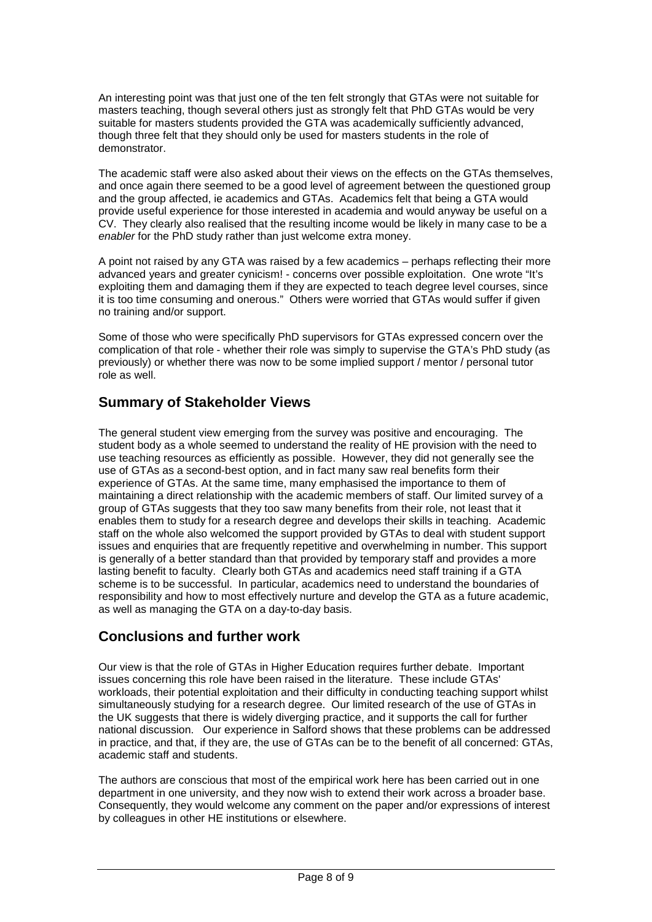An interesting point was that just one of the ten felt strongly that GTAs were not suitable for masters teaching, though several others just as strongly felt that PhD GTAs would be very suitable for masters students provided the GTA was academically sufficiently advanced, though three felt that they should only be used for masters students in the role of demonstrator.

The academic staff were also asked about their views on the effects on the GTAs themselves, and once again there seemed to be a good level of agreement between the questioned group and the group affected, ie academics and GTAs. Academics felt that being a GTA would provide useful experience for those interested in academia and would anyway be useful on a CV. They clearly also realised that the resulting income would be likely in many case to be a enabler for the PhD study rather than just welcome extra money.

A point not raised by any GTA was raised by a few academics – perhaps reflecting their more advanced years and greater cynicism! - concerns over possible exploitation. One wrote "It's exploiting them and damaging them if they are expected to teach degree level courses, since it is too time consuming and onerous." Others were worried that GTAs would suffer if given no training and/or support.

Some of those who were specifically PhD supervisors for GTAs expressed concern over the complication of that role - whether their role was simply to supervise the GTA's PhD study (as previously) or whether there was now to be some implied support / mentor / personal tutor role as well.

## **Summary of Stakeholder Views**

The general student view emerging from the survey was positive and encouraging. The student body as a whole seemed to understand the reality of HE provision with the need to use teaching resources as efficiently as possible. However, they did not generally see the use of GTAs as a second-best option, and in fact many saw real benefits form their experience of GTAs. At the same time, many emphasised the importance to them of maintaining a direct relationship with the academic members of staff. Our limited survey of a group of GTAs suggests that they too saw many benefits from their role, not least that it enables them to study for a research degree and develops their skills in teaching. Academic staff on the whole also welcomed the support provided by GTAs to deal with student support issues and enquiries that are frequently repetitive and overwhelming in number. This support is generally of a better standard than that provided by temporary staff and provides a more lasting benefit to faculty. Clearly both GTAs and academics need staff training if a GTA scheme is to be successful. In particular, academics need to understand the boundaries of responsibility and how to most effectively nurture and develop the GTA as a future academic, as well as managing the GTA on a day-to-day basis.

#### **Conclusions and further work**

Our view is that the role of GTAs in Higher Education requires further debate. Important issues concerning this role have been raised in the literature. These include GTAs' workloads, their potential exploitation and their difficulty in conducting teaching support whilst simultaneously studying for a research degree. Our limited research of the use of GTAs in the UK suggests that there is widely diverging practice, and it supports the call for further national discussion. Our experience in Salford shows that these problems can be addressed in practice, and that, if they are, the use of GTAs can be to the benefit of all concerned: GTAs, academic staff and students.

The authors are conscious that most of the empirical work here has been carried out in one department in one university, and they now wish to extend their work across a broader base. Consequently, they would welcome any comment on the paper and/or expressions of interest by colleagues in other HE institutions or elsewhere.